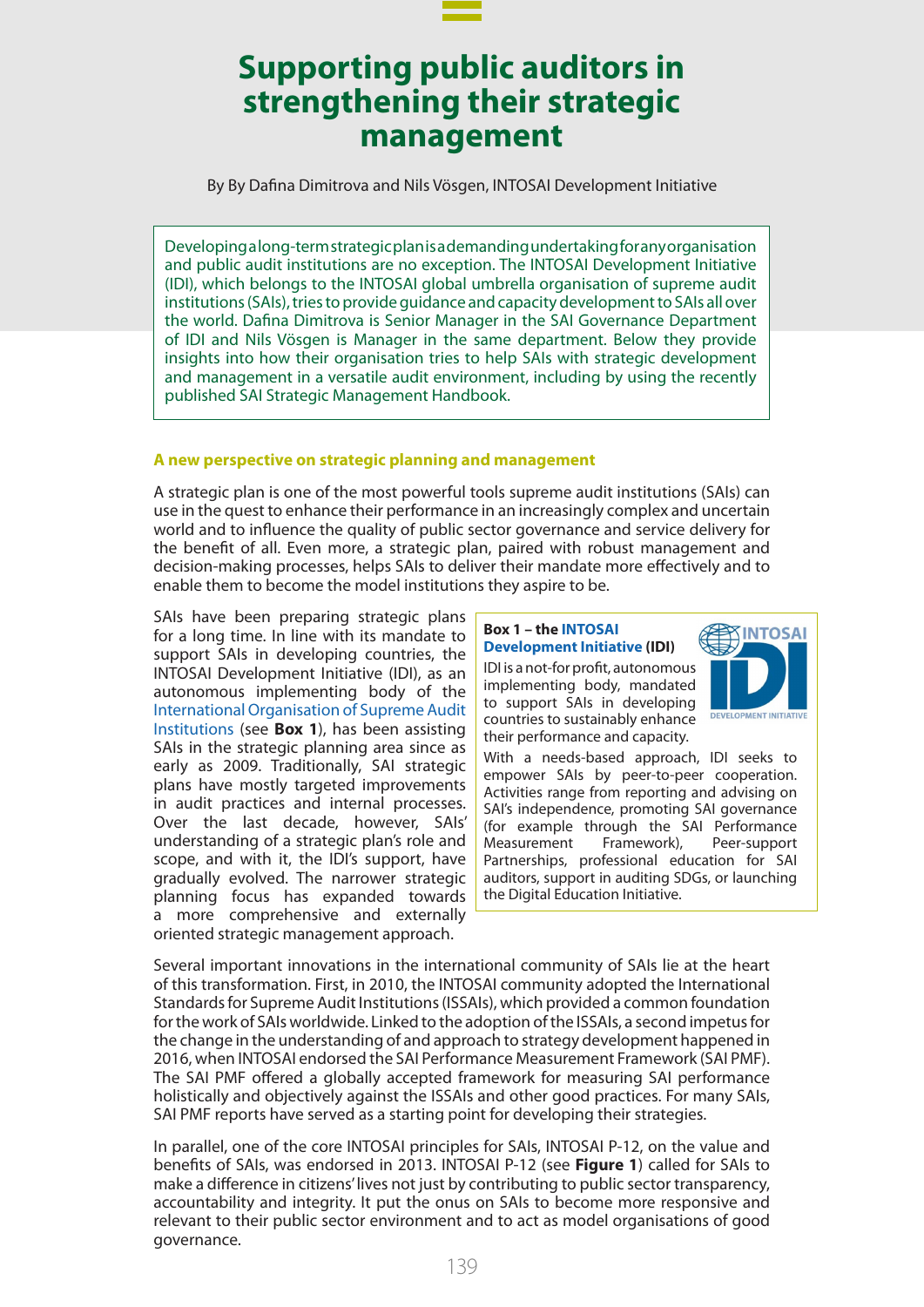

By By Dafina Dimitrova and Nils Vösgen, INTOSAI Development Initiative

Developing a long-term strategic plan is a demanding undertaking for any organisation and public audit institutions are no exception. The INTOSAI Development Initiative (IDI), which belongs to the INTOSAI global umbrella organisation of supreme audit institutions (SAIs), tries to provide guidance and capacity development to SAIs all over the world. Dafina Dimitrova is Senior Manager in the SAI Governance Department of IDI and Nils Vösgen is Manager in the same department. Below they provide insights into how their organisation tries to help SAIs with strategic development and management in a versatile audit environment, including by using the recently published SAI Strategic Management Handbook.

#### **A new perspective on strategic planning and management**

A strategic plan is one of the most powerful tools supreme audit institutions (SAIs) can use in the quest to enhance their performance in an increasingly complex and uncertain world and to influence the quality of public sector governance and service delivery for the benefit of all. Even more, a strategic plan, paired with robust management and decision-making processes, helps SAIs to deliver their mandate more effectively and to enable them to become the model institutions they aspire to be.

SAIs have been preparing strategic plans for a long time. In line with its mandate to support SAIs in developing countries, the INTOSAI Development Initiative (IDI), as an autonomous implementing body of the [International Organisation of Supreme Audit](https://www.intosai.org/) [Institutions](https://www.intosai.org/) (see **Box 1**), has been assisting SAIs in the strategic planning area since as early as 2009. Traditionally, SAI strategic plans have mostly targeted improvements in audit practices and internal processes. Over the last decade, however, SAIs' understanding of a strategic plan's role and scope, and with it, the IDI's support, have gradually evolved. The narrower strategic planning focus has expanded towards a more comprehensive and externally oriented strategic management approach.

#### **Box 1 – the [INTOSAI](https://www.idi.no/)  [Development Initiative](https://www.idi.no/) (IDI)**

IDI is a not-for profit, autonomous implementing body, mandated to support SAIs in developing countries to sustainably enhance their performance and capacity.



With a needs-based approach, IDI seeks to empower SAIs by peer-to-peer cooperation. Activities range from reporting and advising on SAI's independence, promoting SAI governance (for example through the SAI Performance Measurement Framework), Peer-support Partnerships, professional education for SAI auditors, support in auditing SDGs, or launching the Digital Education Initiative.

Several important innovations in the international community of SAIs lie at the heart of this transformation. First, in 2010, the INTOSAI community adopted the International Standards for Supreme Audit Institutions (ISSAIs), which provided a common foundation for the work of SAIs worldwide. Linked to the adoption of the ISSAIs, a second impetus for the change in the understanding of and approach to strategy development happened in 2016, when INTOSAI endorsed the SAI Performance Measurement Framework (SAI PMF). The SAI PMF offered a globally accepted framework for measuring SAI performance holistically and objectively against the ISSAIs and other good practices. For many SAIs, SAI PMF reports have served as a starting point for developing their strategies.

In parallel, one of the core INTOSAI principles for SAIs, INTOSAI P-12, on the value and benefits of SAIs, was endorsed in 2013. INTOSAI P-12 (see **Figure 1**) called for SAIs to make a difference in citizens' lives not just by contributing to public sector transparency, accountability and integrity. It put the onus on SAIs to become more responsive and relevant to their public sector environment and to act as model organisations of good governance.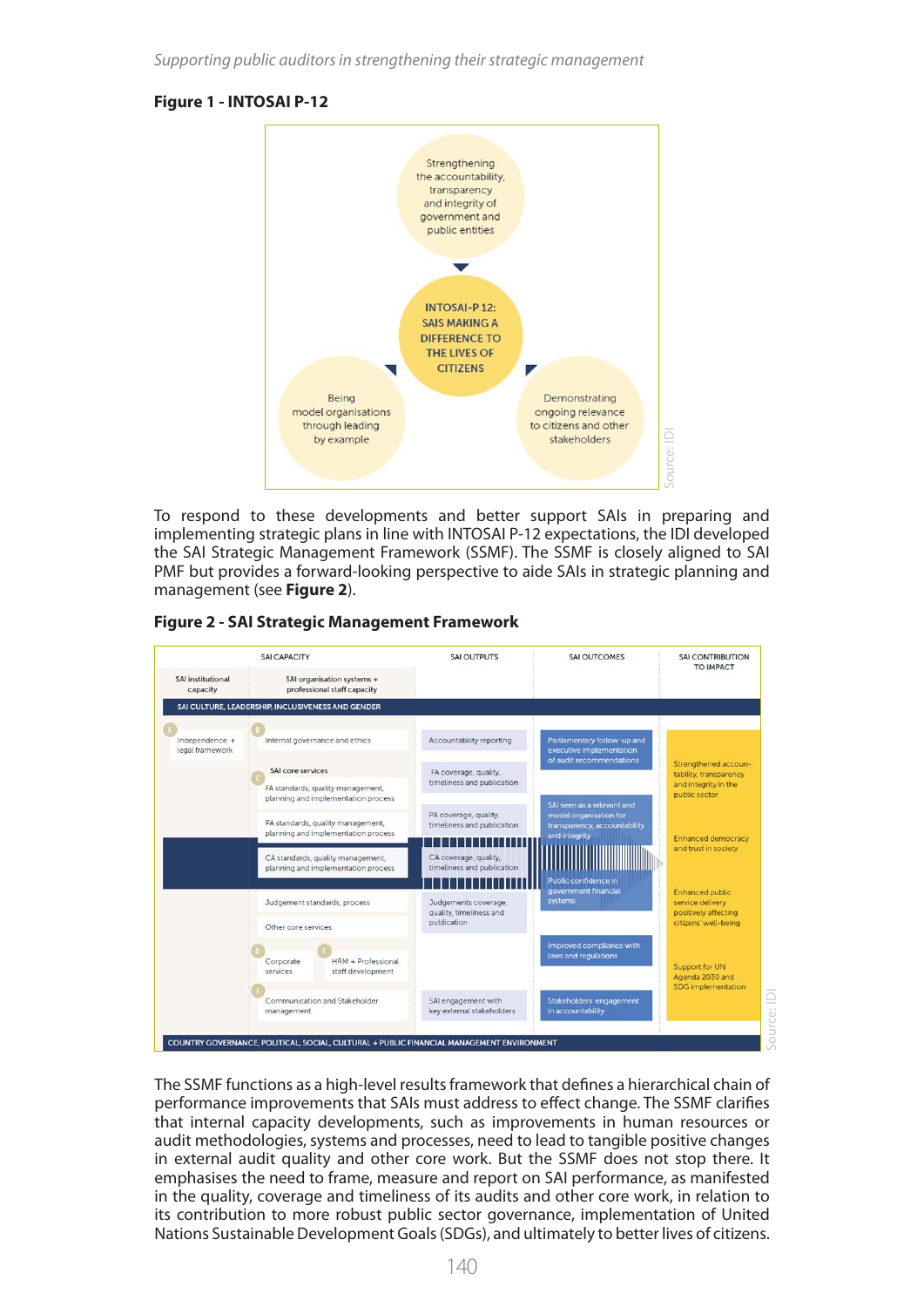# **Figure 1 - INTOSAI P-12**



To respond to these developments and better support SAIs in preparing and implementing strategic plans in line with INTOSAI P-12 expectations, the IDI developed the SAI Strategic Management Framework (SSMF). The SSMF is closely aligned to SAI PMF but provides a forward-looking perspective to aide SAIs in strategic planning and management (see **Figure 2**).



|  | <b>Figure 2 - SAI Strategic Management Framework</b> |  |
|--|------------------------------------------------------|--|
|  |                                                      |  |

The SSMF functions as a high-level results framework that defines a hierarchical chain of performance improvements that SAIs must address to effect change. The SSMF clarifies that internal capacity developments, such as improvements in human resources or audit methodologies, systems and processes, need to lead to tangible positive changes in external audit quality and other core work. But the SSMF does not stop there. It emphasises the need to frame, measure and report on SAI performance, as manifested in the quality, coverage and timeliness of its audits and other core work, in relation to its contribution to more robust public sector governance, implementation of United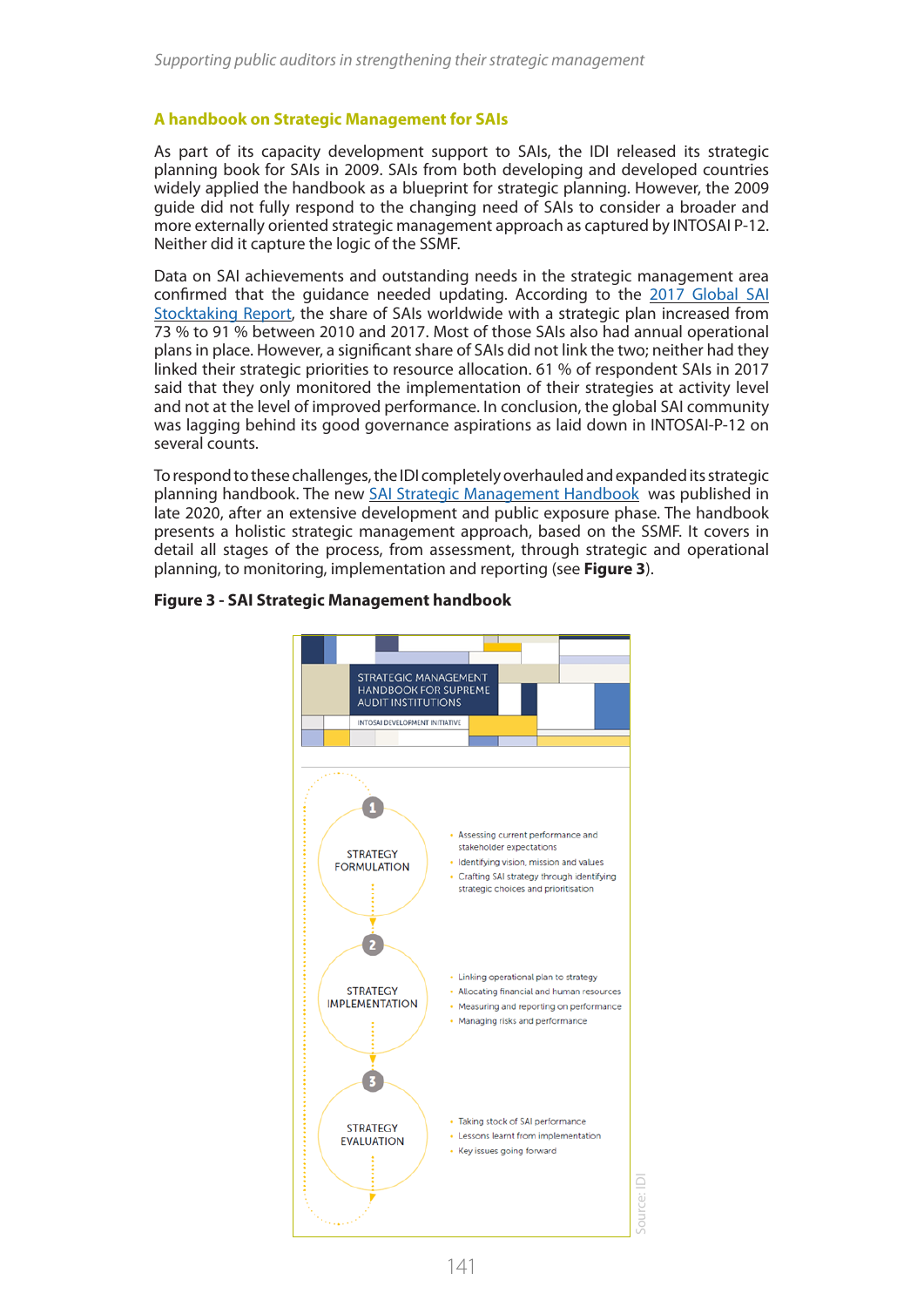## **A handbook on Strategic Management for SAIs**

As part of its capacity development support to SAIs, the IDI released its strategic planning book for SAIs in 2009. SAIs from both developing and developed countries widely applied the handbook as a blueprint for strategic planning. However, the 2009 guide did not fully respond to the changing need of SAIs to consider a broader and more externally oriented strategic management approach as captured by INTOSAI P-12. Neither did it capture the logic of the SSMF.

Data on SAI achievements and outstanding needs in the strategic management area confirmed that the guidance needed updating. According to the [2017 Global SAI](https://www.idi.no/our-resources/global-stocktaking-reports)  [Stocktaking Report](https://www.idi.no/our-resources/global-stocktaking-reports), the share of SAIs worldwide with a strategic plan increased from 73 % to 91 % between 2010 and 2017. Most of those SAIs also had annual operational plans in place. However, a significant share of SAIs did not link the two; neither had they linked their strategic priorities to resource allocation. 61 % of respondent SAIs in 2017 said that they only monitored the implementation of their strategies at activity level and not at the level of improved performance. In conclusion, the global SAI community was lagging behind its good governance aspirations as laid down in INTOSAI-P-12 on several counts.

To respond to these challenges, the IDI completely overhauled and expanded its strategic planning handbook. The new [SAI Strategic Management Handbook](https://www.idi.no/elibrary/well-governed-sais/strategy-performance-measurement-reporting/1139-sai-strategic-management-handbook-version-1) was published in late 2020, after an extensive development and public exposure phase. The handbook presents a holistic strategic management approach, based on the SSMF. It covers in detail all stages of the process, from assessment, through strategic and operational planning, to monitoring, implementation and reporting (see **Figure 3**).



### **Figure 3 - SAI Strategic Management handbook**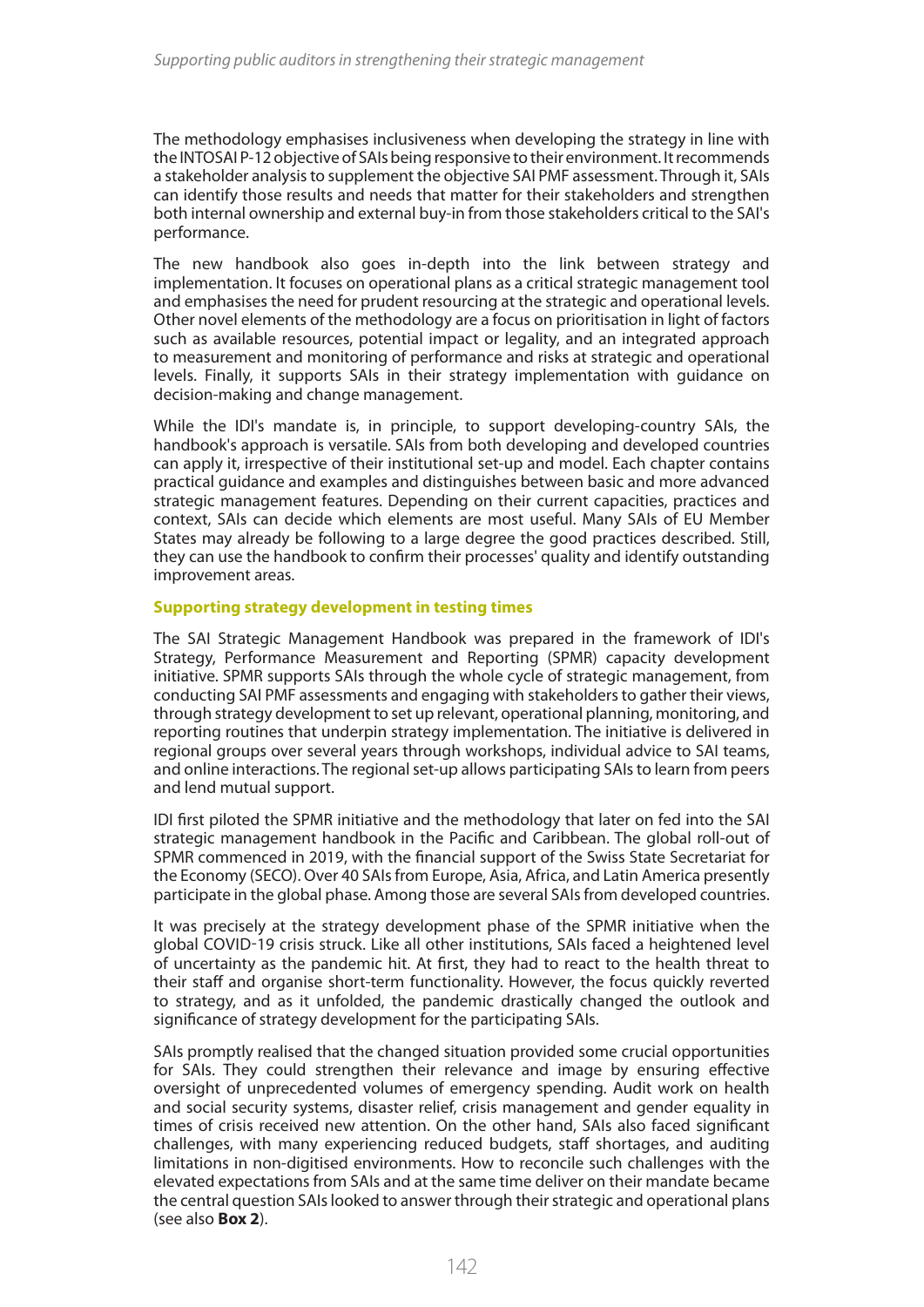The methodology emphasises inclusiveness when developing the strategy in line with the INTOSAI P-12 objective of SAIs being responsive to their environment. It recommends a stakeholder analysis to supplement the objective SAI PMF assessment. Through it, SAIs can identify those results and needs that matter for their stakeholders and strengthen both internal ownership and external buy-in from those stakeholders critical to the SAI's performance.

The new handbook also goes in-depth into the link between strategy and implementation. It focuses on operational plans as a critical strategic management tool and emphasises the need for prudent resourcing at the strategic and operational levels. Other novel elements of the methodology are a focus on prioritisation in light of factors such as available resources, potential impact or legality, and an integrated approach to measurement and monitoring of performance and risks at strategic and operational levels. Finally, it supports SAIs in their strategy implementation with guidance on decision-making and change management.

While the IDI's mandate is, in principle, to support developing-country SAIs, the handbook's approach is versatile. SAIs from both developing and developed countries can apply it, irrespective of their institutional set-up and model. Each chapter contains practical guidance and examples and distinguishes between basic and more advanced strategic management features. Depending on their current capacities, practices and context, SAIs can decide which elements are most useful. Many SAIs of EU Member States may already be following to a large degree the good practices described. Still, they can use the handbook to confirm their processes' quality and identify outstanding improvement areas.

## **Supporting strategy development in testing times**

The SAI Strategic Management Handbook was prepared in the framework of IDI's Strategy, Performance Measurement and Reporting (SPMR) capacity development initiative. SPMR supports SAIs through the whole cycle of strategic management, from conducting SAI PMF assessments and engaging with stakeholders to gather their views, through strategy development to set up relevant, operational planning, monitoring, and reporting routines that underpin strategy implementation. The initiative is delivered in regional groups over several years through workshops, individual advice to SAI teams, and online interactions. The regional set-up allows participating SAIs to learn from peers and lend mutual support.

IDI first piloted the SPMR initiative and the methodology that later on fed into the SAI strategic management handbook in the Pacific and Caribbean. The global roll-out of SPMR commenced in 2019, with the financial support of the Swiss State Secretariat for the Economy (SECO). Over 40 SAIs from Europe, Asia, Africa, and Latin America presently participate in the global phase. Among those are several SAIs from developed countries.

It was precisely at the strategy development phase of the SPMR initiative when the global COVID-19 crisis struck. Like all other institutions, SAIs faced a heightened level of uncertainty as the pandemic hit. At first, they had to react to the health threat to their staff and organise short-term functionality. However, the focus quickly reverted to strategy, and as it unfolded, the pandemic drastically changed the outlook and significance of strategy development for the participating SAIs.

SAIs promptly realised that the changed situation provided some crucial opportunities for SAIs. They could strengthen their relevance and image by ensuring effective oversight of unprecedented volumes of emergency spending. Audit work on health and social security systems, disaster relief, crisis management and gender equality in times of crisis received new attention. On the other hand, SAIs also faced significant challenges, with many experiencing reduced budgets, staff shortages, and auditing limitations in non-digitised environments. How to reconcile such challenges with the elevated expectations from SAIs and at the same time deliver on their mandate became the central question SAIs looked to answer through their strategic and operational plans (see also **Box 2**).